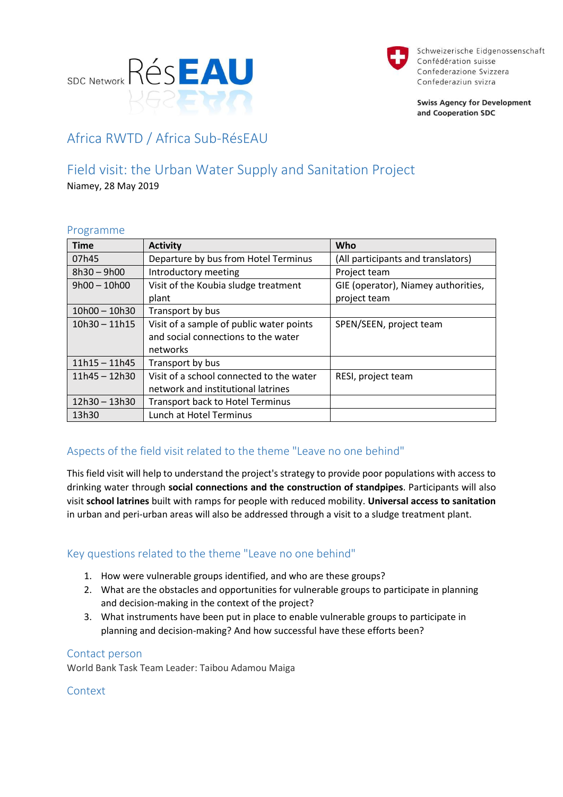



Schweizerische Eidgenossenschaft Confédération suisse Confederazione Svizzera Confederaziun svizra

**Swiss Agency for Development** and Cooperation SDC

# Africa RWTD / Africa Sub-RésEAU

## Field visit: the Urban Water Supply and Sanitation Project

Niamey, 28 May 2019

### Programme

| <b>Time</b>     | <b>Activity</b>                          | Who                                 |
|-----------------|------------------------------------------|-------------------------------------|
| 07h45           | Departure by bus from Hotel Terminus     | (All participants and translators)  |
| $8h30 - 9h00$   | Introductory meeting                     | Project team                        |
| $9h00 - 10h00$  | Visit of the Koubia sludge treatment     | GIE (operator), Niamey authorities, |
|                 | plant                                    | project team                        |
| $10h00 - 10h30$ | Transport by bus                         |                                     |
| $10h30 - 11h15$ | Visit of a sample of public water points | SPEN/SEEN, project team             |
|                 | and social connections to the water      |                                     |
|                 | networks                                 |                                     |
| $11h15 - 11h45$ | Transport by bus                         |                                     |
| $11h45 - 12h30$ | Visit of a school connected to the water | RESI, project team                  |
|                 | network and institutional latrines       |                                     |
| 12h30 - 13h30   | <b>Transport back to Hotel Terminus</b>  |                                     |
| 13h30           | Lunch at Hotel Terminus                  |                                     |

## Aspects of the field visit related to the theme "Leave no one behind"

This field visit will help to understand the project's strategy to provide poor populations with access to drinking water through **social connections and the construction of standpipes**. Participants will also visit **school latrines** built with ramps for people with reduced mobility. **Universal access to sanitation** in urban and peri-urban areas will also be addressed through a visit to a sludge treatment plant.

### Key questions related to the theme "Leave no one behind"

- 1. How were vulnerable groups identified, and who are these groups?
- 2. What are the obstacles and opportunities for vulnerable groups to participate in planning and decision-making in the context of the project?
- 3. What instruments have been put in place to enable vulnerable groups to participate in planning and decision-making? And how successful have these efforts been?

### Contact person

World Bank Task Team Leader: Taibou Adamou Maiga

Context